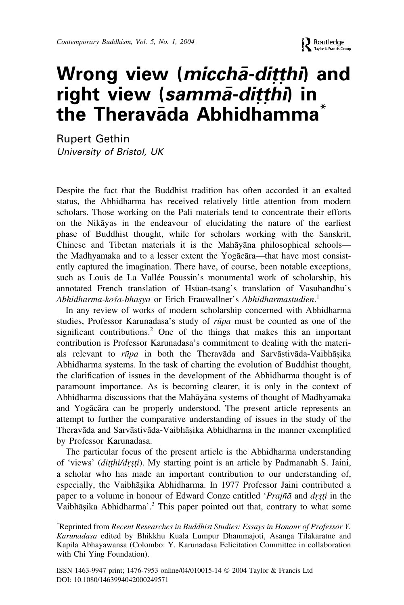# **Wrong view (miccha¯ -ditthi) and right view (samma¯ -ditthi) in the Theravada Abhidhamma**

Rupert Gethin *University of Bristol, UK*

Despite the fact that the Buddhist tradition has often accorded it an exalted status, the Abhidharma has received relatively little attention from modern scholars. Those working on the Pali materials tend to concentrate their efforts on the Nikayas in the endeavour of elucidating the nature of the earliest phase of Buddhist thought, while for scholars working with the Sanskrit, Chinese and Tibetan materials it is the Mahavana philosophical schools the Madhyamaka and to a lesser extent the Yogācāra—that have most consistently captured the imagination. There have, of course, been notable exceptions, such as Louis de La Vallée Poussin's monumental work of scholarship, his annotated French translation of Hsuan-tsang's translation of Vasubandhu's *Abhidharma-kos´a-bha¯sya* or Erich Frauwallner's *Abhidharmastudien*. 1

In any review of works of modern scholarship concerned with Abhidharma studies, Professor Karunadasa's study of *rūpa* must be counted as one of the significant contributions.<sup>2</sup> One of the things that makes this an important contribution is Professor Karunadasa's commitment to dealing with the materials relevant to *rūpa* in both the Theravada and Sarvastivada-Vaibhasika Abhidharma systems. In the task of charting the evolution of Buddhist thought, the clarification of issues in the development of the Abhidharma thought is of paramount importance. As is becoming clearer, it is only in the context of Abhidharma discussions that the Mahavana systems of thought of Madhyamaka and Yogācāra can be properly understood. The present article represents an attempt to further the comparative understanding of issues in the study of the Theravāda and Sarvāstivāda-Vaibhāṣika Abhidharma in the manner exemplified by Professor Karunadasa.

The particular focus of the present article is the Abhidharma understanding of 'views' (*ditthi/drsti*). My starting point is an article by Padmanabh S. Jaini, a scholar who has made an important contribution to our understanding of, especially, the Vaibhāṣika Abhidharma. In 1977 Professor Jaini contributed a paper to a volume in honour of Edward Conze entitled *'Prajña* and *drsti* in the Vaibhāṣika Abhidharma'.<sup>3</sup> This paper pointed out that, contrary to what some

\* Reprinted from *Recent Researches in Buddhist Studies: Essays in Honour of Professor Y. Karunadasa* edited by Bhikkhu Kuala Lumpur Dhammajoti, Asanga Tilakaratne and Kapila Abhayawansa (Colombo: Y. Karunadasa Felicitation Committee in collaboration with Chi Ying Foundation).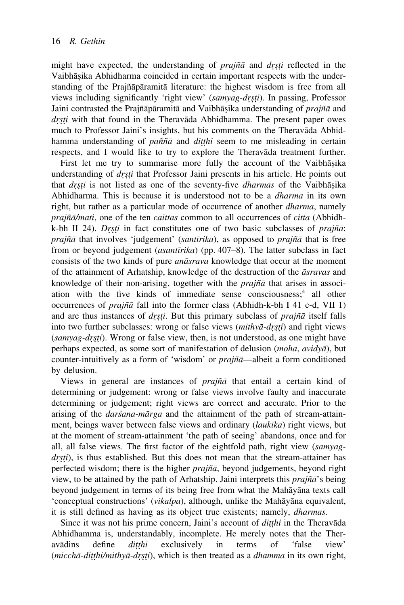might have expected, the understanding of *prajna* and *drsti* reflected in the Vaibhāsika Abhidharma coincided in certain important respects with the understanding of the Prajñāpāramitā literature: the highest wisdom is free from all views including significantly 'right view' (*samyag-drsti*). In passing, Professor Jaini contrasted the Prajñāpāramitā and Vaibhāṣika understanding of *prajñā* and *drsti* with that found in the Theravada Abhidhamma. The present paper owes much to Professor Jaini's insights, but his comments on the Theravada Abhidhamma understanding of *pañña* and *ditthi* seem to me misleading in certain respects, and I would like to try to explore the Theravada treatment further.

First let me try to summarise more fully the account of the Vaibhasika understanding of *drsti* that Professor Jaini presents in his article. He points out that *drsti* is not listed as one of the seventy-five *dharmas* of the Vaibhasika Abhidharma. This is because it is understood not to be a *dharma* in its own right, but rather as a particular mode of occurrence of another *dharma*, namely *prajñā/mati*, one of the ten *caittas* common to all occurrences of *citta* (Abhidhk-bh II 24). *Drsti* in fact constitutes one of two basic subclasses of *prajñā*: *prajñā* that involves 'judgement' (*santīrika*), as opposed to *prajñā* that is free from or beyond judgement (*asantīrika*) (pp. 407–8). The latter subclass in fact consists of the two kinds of pure *anāsrava* knowledge that occur at the moment of the attainment of Arhatship, knowledge of the destruction of the *a¯sravas* and knowledge of their non-arising, together with the *prajna* that arises in association with the five kinds of immediate sense consciousness;<sup>4</sup> all other occurrences of *prajn˜a¯* fall into the former class (Abhidh-k-bh I 41 c-d, VII 1) and are thus instances of *drsti*. But this primary subclass of *prajn* $\bar{a}$  itself falls into two further subclasses: wrong or false views (*mithya¯-drsti*) and right views (*samyag-drsti*). Wrong or false view, then, is not understood, as one might have perhaps expected, as some sort of manifestation of delusion (*moha*, *avidya¯*), but counter-intuitively as a form of 'wisdom' or *prajñā*—albeit a form conditioned by delusion.

Views in general are instances of *prajña* that entail a certain kind of determining or judgement: wrong or false views involve faulty and inaccurate determining or judgement; right views are correct and accurate. Prior to the arising of the *darsana-maxya* and the attainment of the path of stream-attainment, beings waver between false views and ordinary (*laukika*) right views, but at the moment of stream-attainment 'the path of seeing' abandons, once and for all, all false views. The first factor of the eightfold path, right view (*samyagdrsti*), is thus established. But this does not mean that the stream-attainer has perfected wisdom; there is the higher *prajñā*, beyond judgements, beyond right view, to be attained by the path of Arhatship. Jaini interprets this *prajna*'s being beyond judgement in terms of its being free from what the Mahava texts call 'conceptual constructions' (*vikalpa*), although, unlike the Mahāyāna equivalent, it is still defined as having as its object true existents; namely, *dharmas*.

Since it was not his prime concern, Jaini's account of *ditthi* in the Theravada Abhidhamma is, understandably, incomplete. He merely notes that the Theravadins define *ditthi* exclusively in terms of 'false view' (*miccha¯-ditthi/mithya¯-drsti*), which is then treated as a *dhamma* in its own right,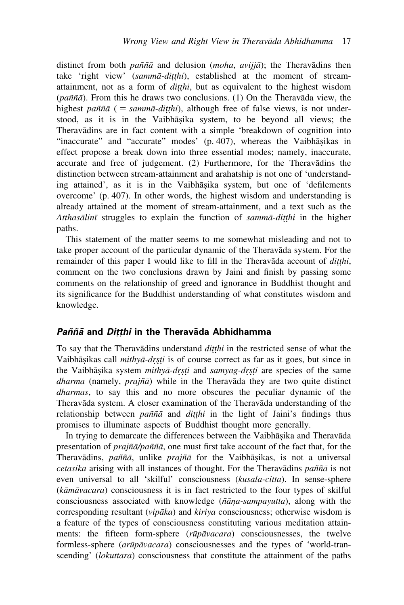distinct from both *pañña* and delusion (*moha*, *avijja*); the Theravadins then take 'right view' (*samma¯-ditthi*), established at the moment of streamattainment, not as a form of *ditthi*, but as equivalent to the highest wisdom (*pañña*). From this he draws two conclusions. (1) On the Theravada view, the highest *paññā* ( = *sammā-ditthi*), although free of false views, is not understood, as it is in the Vaibhasika system, to be beyond all views; the Theravadins are in fact content with a simple 'breakdown of cognition into "inaccurate" and "accurate" modes' (p. 407), whereas the Vaibhāsikas in effect propose a break down into three essential modes; namely, inaccurate, accurate and free of judgement.  $(2)$  Furthermore, for the Theravadins the distinction between stream-attainment and arahatship is not one of 'understanding attained', as it is in the Vaibhasika system, but one of 'defilements overcome' (p. 407). In other words, the highest wisdom and understanding is already attained at the moment of stream-attainment, and a text such as the *Atthasa¯linı¯* struggles to explain the function of *samma¯-ditthi* in the higher paths.

This statement of the matter seems to me somewhat misleading and not to take proper account of the particular dynamic of the Theravada system. For the remainder of this paper I would like to fill in the Theravada account of *ditthi*, comment on the two conclusions drawn by Jaini and finish by passing some comments on the relationship of greed and ignorance in Buddhist thought and its significance for the Buddhist understanding of what constitutes wisdom and knowledge.

## **Pan˜ n˜ a¯ and Ditthi in the Therava¯ da Abhidhamma**

To say that the Theravadins understand *dithi* in the restricted sense of what the Vaibhasikas call *mithya-drsti* is of course correct as far as it goes, but since in the Vaibha¯sika system *mithya¯-drsti* and *samyag-drsti* are species of the same *dharma* (namely, *prajñā*) while in the Theravada they are two quite distinct *dharmas*, to say this and no more obscures the peculiar dynamic of the Theravada system. A closer examination of the Theravada understanding of the relationship between *pañña* and *dithi* in the light of Jaini's findings thus promises to illuminate aspects of Buddhist thought more generally.

In trying to demarcate the differences between the Vaibhāsika and Theravāda presentation of *prajñā/paññā*, one must first take account of the fact that, for the Theravādins, *paññā*, unlike *prajñā* for the Vaibhāṣikas, is not a universal *cetasika* arising with all instances of thought. For the Theravadins *panna* is not even universal to all 'skilful' consciousness (*kusala-citta*). In sense-sphere (*kāmāvacara*) consciousness it is in fact restricted to the four types of skilful consciousness associated with knowledge ( $\tilde{n}$ *ana-sampayutta*), along with the corresponding resultant (*vipāka*) and *kiriya* consciousness; otherwise wisdom is a feature of the types of consciousness constituting various meditation attainments: the fifteen form-sphere (*rūpāvacara*) consciousnesses, the twelve formless-sphere (*arūpāvacara*) consciousnesses and the types of 'world-transcending' (*lokuttara*) consciousness that constitute the attainment of the paths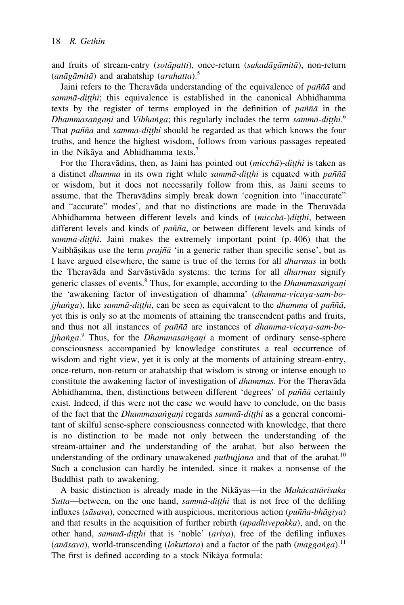and fruits of stream-entry (*sotāpatti*), once-return (*sakadāgāmitā*), non-return (*ana¯ga¯mita¯*) and arahatship (*arahatta*).<sup>5</sup>

Jaini refers to the Theravada understanding of the equivalence of *panna* and *samma¯-ditthi*; this equivalence is established in the canonical Abhidhamma texts by the register of terms employed in the definition of *panna* in the *Dhammasan˙gani* and *Vibhan˙ga*; this regularly includes the term *samma¯-ditthi*. 6 That *pan˜n˜a¯* and *samma¯-ditthi* should be regarded as that which knows the four truths, and hence the highest wisdom, follows from various passages repeated in the Nikava and Abhidhamma texts.<sup>7</sup>

For the Theravadins, then, as Jaini has pointed out *(miccha)-dithi* is taken as a distinct *dhamma* in its own right while *sammā-ditthi* is equated with *paññā* or wisdom, but it does not necessarily follow from this, as Jaini seems to assume, that the Theravadins simply break down 'cognition into "inaccurate" and "accurate" modes', and that no distinctions are made in the Theravada Abhidhamma between different levels and kinds of (*miccha¯*-)*ditthi*, between different levels and kinds of *paññā*, or between different levels and kinds of *samma¯-ditthi*. Jaini makes the extremely important point (p. 406) that the Vaibhāsikas use the term *prajñā* 'in a generic rather than specific sense', but as I have argued elsewhere, the same is true of the terms for all *dharmas* in both the Theravada and Sarvastivada systems: the terms for all *dharmas* signify generic classes of events.<sup>8</sup> Thus, for example, according to the *Dhammasan˙gani* the 'awakening factor of investigation of dhamma' (*dhamma-vicaya-sam-bojjhanga*), like *sammā-ditthi*, can be seen as equivalent to the *dhamma* of *pañña*, yet this is only so at the moments of attaining the transcendent paths and fruits, and thus not all instances of *pañña* are instances of *dhamma-vicaya-sam-bojjhanga*.<sup>9</sup> Thus, for the *Dhammasangani* a moment of ordinary sense-sphere consciousness accompanied by knowledge constitutes a real occurrence of wisdom and right view, yet it is only at the moments of attaining stream-entry, once-return, non-return or arahatship that wisdom is strong or intense enough to constitute the awakening factor of investigation of *dhammas*. For the Theravada Abhidhamma, then, distinctions between different 'degrees' of *panna* certainly exist. Indeed, if this were not the case we would have to conclude, on the basis of the fact that the *Dhammasan˙gani* regards *samma¯-ditthi* as a general concomitant of skilful sense-sphere consciousness connected with knowledge, that there is no distinction to be made not only between the understanding of the stream-attainer and the understanding of the arahat, but also between the understanding of the ordinary unawakened *puthujjana* and that of the arahat.<sup>10</sup> Such a conclusion can hardly be intended, since it makes a nonsense of the Buddhist path to awakening.

A basic distinction is already made in the Nikavas—in the *Mahācattārīsaka Sutta*—between, on the one hand, *samma¯-ditthi* that is not free of the defiling influxes (sāsava), concerned with auspicious, meritorious action (*puñña-bhāgiya*) and that results in the acquisition of further rebirth (*upadhivepakka*), and, on the other hand, *samma¯-ditthi* that is 'noble' (*ariya*), free of the defiling influxes (*anāsava*), world-transcending (*lokuttara*) and a factor of the path (*magganga*).<sup>11</sup> The first is defined according to a stock Nikava formula: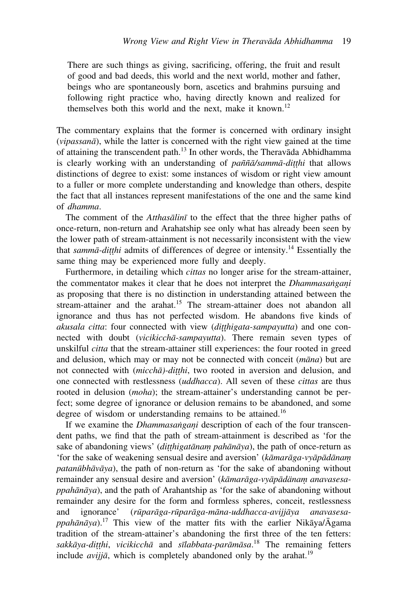There are such things as giving, sacrificing, offering, the fruit and result of good and bad deeds, this world and the next world, mother and father, beings who are spontaneously born, ascetics and brahmins pursuing and following right practice who, having directly known and realized for themselves both this world and the next, make it known.<sup>12</sup>

The commentary explains that the former is concerned with ordinary insight (*vipassana¯*), while the latter is concerned with the right view gained at the time of attaining the transcendent path.<sup>13</sup> In other words, the Theravada Abhidhamma is clearly working with an understanding of *pan˜n˜a¯/samma¯-ditthi* that allows distinctions of degree to exist: some instances of wisdom or right view amount to a fuller or more complete understanding and knowledge than others, despite the fact that all instances represent manifestations of the one and the same kind of *dhamma*.

The comment of the *Atthasalini* to the effect that the three higher paths of once-return, non-return and Arahatship see only what has already been seen by the lower path of stream-attainment is not necessarily inconsistent with the view that *sammā-ditthi* admits of differences of degree or intensity.<sup>14</sup> Essentially the same thing may be experienced more fully and deeply.

Furthermore, in detailing which *cittas* no longer arise for the stream-attainer, the commentator makes it clear that he does not interpret the *Dhammasan˙gani* as proposing that there is no distinction in understanding attained between the stream-attainer and the arahat.<sup>15</sup> The stream-attainer does not abandon all ignorance and thus has not perfected wisdom. He abandons five kinds of *akusala citta*: four connected with view (*ditthigata-sampayutta*) and one connected with doubt (*vicikicchā-sampayutta*). There remain seven types of unskilful *citta* that the stream-attainer still experiences: the four rooted in greed and delusion, which may or may not be connected with conceit (*mana*) but are not connected with (*miccha¯)-ditthi*, two rooted in aversion and delusion, and one connected with restlessness (*uddhacca*). All seven of these *cittas* are thus rooted in delusion (*moha*); the stream-attainer's understanding cannot be perfect; some degree of ignorance or delusion remains to be abandoned, and some degree of wisdom or understanding remains to be attained.<sup>16</sup>

If we examine the *Dhammasangani* description of each of the four transcendent paths, we find that the path of stream-attainment is described as 'for the sake of abandoning views' (*ditthigatānam pahānāya*), the path of once-return as 'for the sake of weakening sensual desire and aversion' (kāmarāga-vyāpādānam *patanūbhāvāya*), the path of non-return as 'for the sake of abandoning without remainder any sensual desire and aversion' (kāmarāga-vyāpādänam anavasesa*ppahānāya*), and the path of Arahantship as 'for the sake of abandoning without remainder any desire for the form and formless spheres, conceit, restlessness and ignorance' (*rūparāga-rūparāga-māna-uddhacca-avijjāya anavasesa* $p$ *pahānāya*).<sup>17</sup> This view of the matter fits with the earlier Nikava/Agama tradition of the stream-attainer's abandoning the first three of the ten fetters: *sakka¯ya-ditthi*, *vicikiccha¯* and *sı¯labbata-para¯ma¯sa*. <sup>18</sup> The remaining fetters include *avijjā*, which is completely abandoned only by the arahat.<sup>19</sup>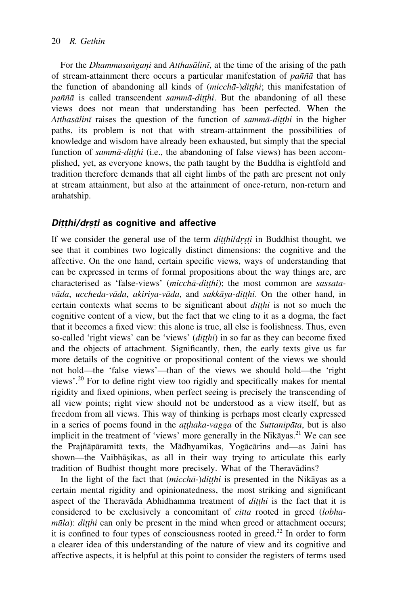#### 20 *R. Gethin*

For the *Dhammasangani* and *Atthasālini*, at the time of the arising of the path of stream-attainment there occurs a particular manifestation of *pañña* that has the function of abandoning all kinds of (*miccha¯*-)*ditthi*; this manifestation of *pan˜n˜a¯* is called transcendent *samma¯-ditthi*. But the abandoning of all these views does not mean that understanding has been perfected. When the *Atthasa¯linı¯* raises the question of the function of *samma¯-ditthi* in the higher paths, its problem is not that with stream-attainment the possibilities of knowledge and wisdom have already been exhausted, but simply that the special function of *samma-ditthi* (i.e., the abandoning of false views) has been accomplished, yet, as everyone knows, the path taught by the Buddha is eightfold and tradition therefore demands that all eight limbs of the path are present not only at stream attainment, but also at the attainment of once-return, non-return and arahatship.

# **Ditthi/drsti as cognitive and affective**

If we consider the general use of the term *ditthi*/*drsti* in Buddhist thought, we see that it combines two logically distinct dimensions: the cognitive and the affective. On the one hand, certain specific views, ways of understanding that can be expressed in terms of formal propositions about the way things are, are characterised as 'false-views' (miccha-ditthi); the most common are *sassatava¯da*, *uccheda-va¯da*, *akiriya-va¯da*, and *sakka¯ya-ditthi*. On the other hand, in certain contexts what seems to be significant about *ditthi* is not so much the cognitive content of a view, but the fact that we cling to it as a dogma, the fact that it becomes a fixed view: this alone is true, all else is foolishness. Thus, even so-called 'right views' can be 'views' (*ditthi*) in so far as they can become fixed and the objects of attachment. Significantly, then, the early texts give us far more details of the cognitive or propositional content of the views we should not hold—the 'false views'—than of the views we should hold—the 'right views'.<sup>20</sup> For to define right view too rigidly and specifically makes for mental rigidity and fixed opinions, when perfect seeing is precisely the transcending of all view points; right view should not be understood as a view itself, but as freedom from all views. This way of thinking is perhaps most clearly expressed in a series of poems found in the *atthaka-vagga* of the *Suttanipata*, but is also implicit in the treatment of 'views' more generally in the Nik $\bar{a}$ yas.<sup>21</sup> We can see the Prajñāpāramitā texts, the Mādhyamikas, Yogācārins and—as Jaini has shown—the Vaibhāṣikas, as all in their way trying to articulate this early tradition of Budhist thought more precisely. What of the Theravadins?

In the light of the fact that *(micchā-)ditthi* is presented in the Nikavas as a certain mental rigidity and opinionatedness, the most striking and significant aspect of the Theravada Abhidhamma treatment of *ditthi* is the fact that it is considered to be exclusively a concomitant of *citta* rooted in greed (*lobhamūla*): *ditthi* can only be present in the mind when greed or attachment occurs; it is confined to four types of consciousness rooted in greed.<sup>22</sup> In order to form a clearer idea of this understanding of the nature of view and its cognitive and affective aspects, it is helpful at this point to consider the registers of terms used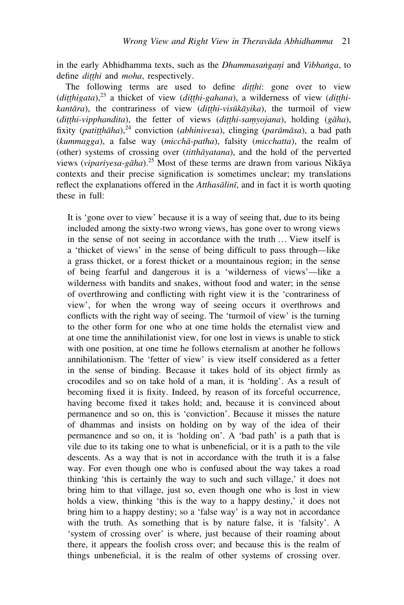in the early Abhidhamma texts, such as the *Dhammasangani* and *Vibhanga*, to define *ditthi* and *moha*, respectively.

The following terms are used to define *ditthi*: gone over to view (*ditthigata*),<sup>23</sup> a thicket of view (*ditthi-gahana*), a wilderness of view (*ditthikantāra*), the contrariness of view *(ditthi-visūkā* $\gamma$ *ika*), the turmoil of view (*ditthi-vipphandita*), the fetter of views (*ditthi-samvojana*), holding (*gāha*), fixity (*patitthāha*),<sup>24</sup> conviction (*abhinivesa*), clinging (*parāmāsa*), a bad path (*kummagga*), a false way (*miccha¯-patha*), falsity (*micchatta*), the realm of (other) systems of crossing over *(titthavatana)*, and the hold of the perverted views (*vipariyesa-gāha*).<sup>25</sup> Most of these terms are drawn from various Nikāya contexts and their precise signification is sometimes unclear; my translations reflect the explanations offered in the *Atthasālini*, and in fact it is worth quoting these in full:

It is 'gone over to view' because it is a way of seeing that, due to its being included among the sixty-two wrong views, has gone over to wrong views in the sense of not seeing in accordance with the truth … View itself is a 'thicket of views' in the sense of being difficult to pass through—like a grass thicket, or a forest thicket or a mountainous region; in the sense of being fearful and dangerous it is a 'wilderness of views'—like a wilderness with bandits and snakes, without food and water; in the sense of overthrowing and conflicting with right view it is the 'contrariness of view', for when the wrong way of seeing occurs it overthrows and conflicts with the right way of seeing. The 'turmoil of view' is the turning to the other form for one who at one time holds the eternalist view and at one time the annihilationist view, for one lost in views is unable to stick with one position, at one time he follows eternalism at another he follows annihilationism. The 'fetter of view' is view itself considered as a fetter in the sense of binding. Because it takes hold of its object firmly as crocodiles and so on take hold of a man, it is 'holding'. As a result of becoming fixed it is fixity. Indeed, by reason of its forceful occurrence, having become fixed it takes hold; and, because it is convinced about permanence and so on, this is 'conviction'. Because it misses the nature of dhammas and insists on holding on by way of the idea of their permanence and so on, it is 'holding on'. A 'bad path' is a path that is vile due to its taking one to what is unbeneficial, or it is a path to the vile descents. As a way that is not in accordance with the truth it is a false way. For even though one who is confused about the way takes a road thinking 'this is certainly the way to such and such village,' it does not bring him to that village, just so, even though one who is lost in view holds a view, thinking 'this is the way to a happy destiny,' it does not bring him to a happy destiny; so a 'false way' is a way not in accordance with the truth. As something that is by nature false, it is 'falsity'. A 'system of crossing over' is where, just because of their roaming about there, it appears the foolish cross over; and because this is the realm of things unbeneficial, it is the realm of other systems of crossing over.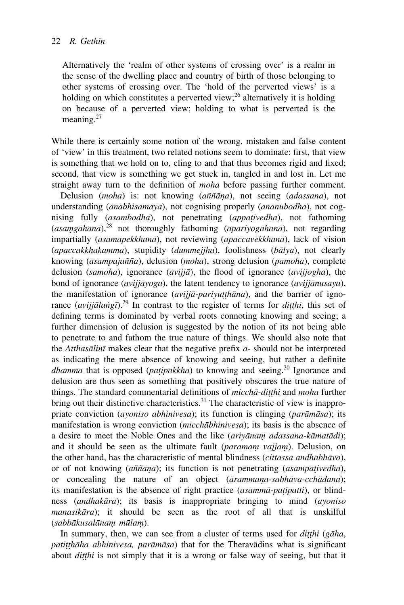Alternatively the 'realm of other systems of crossing over' is a realm in the sense of the dwelling place and country of birth of those belonging to other systems of crossing over. The 'hold of the perverted views' is a holding on which constitutes a perverted view; $^{26}$  alternatively it is holding on because of a perverted view; holding to what is perverted is the meaning.<sup>27</sup>

While there is certainly some notion of the wrong, mistaken and false content of 'view' in this treatment, two related notions seem to dominate: first, that view is something that we hold on to, cling to and that thus becomes rigid and fixed; second, that view is something we get stuck in, tangled in and lost in. Let me straight away turn to the definition of *moha* before passing further comment.

Delusion (*moha*) is: not knowing (*aññāna*), not seeing (*adassana*), not understanding (*anabhisamaya*), not cognising properly (*ananubodha*), not cognising fully (*asambodha*), not penetrating (*appativedha*), not fathoming  $(asa**m**gāhanā),<sup>28</sup>$  not thoroughly fathoming  $(a**pairi**ogāhanā)$ , not regarding impartially (*asamapekkhanā*), not reviewing (*apaccavekkhanā*), lack of vision (*apaccakkhakamma*), stupidity (*dummejjha*), foolishness (*bālya*), not clearly knowing (*asampajan˜n˜a*), delusion (*moha*), strong delusion (*pamoha*), complete delusion (*samoha*), ignorance (*avijja¯*), the flood of ignorance (*avijjogha*), the bond of ignorance (*avijjāyoga*), the latent tendency to ignorance (*avijjānusaya*), the manifestation of ignorance *(avijjā-pariyutthāna)*, and the barrier of ignorance  $(avijiālangī)<sup>29</sup>$  In contrast to the register of terms for *ditthi*, this set of defining terms is dominated by verbal roots connoting knowing and seeing; a further dimension of delusion is suggested by the notion of its not being able to penetrate to and fathom the true nature of things. We should also note that the *Atthasālinī* makes clear that the negative prefix *a*- should not be interpreted as indicating the mere absence of knowing and seeing, but rather a definite *dhamma* that is opposed (*patipakkha*) to knowing and seeing.<sup>30</sup> Ignorance and delusion are thus seen as something that positively obscures the true nature of things. The standard commentarial definitions of *miccha¯-ditthi* and *moha* further bring out their distinctive characteristics.<sup>31</sup> The characteristic of view is inappropriate conviction (*ayoniso abhinivesa*); its function is clinging (*parāmāsa*); its manifestation is wrong conviction *(micchabhinivesa)*; its basis is the absence of a desire to meet the Noble Ones and the like (*ariyanam adassana-kamatadi*); and it should be seen as the ultimate fault (*paramam vajjam* ). Delusion, on the other hand, has the characteristic of mental blindness (*cittassa andhabhāvo*), or of not knowing (*aññāna*); its function is not penetrating (*asampativedha*), or concealing the nature of an object ( $\bar{a}$ rammana-sabhāva-cchādana); its manifestation is the absence of right practice (*asamma¯-patipatti*), or blindness (*andhaka¯ra*); its basis is inappropriate bringing to mind (*ayoniso manasikāra*); it should be seen as the root of all that is unskilful (*sabba¯kusala¯nam mu¯lam* ).

In summary, then, we can see from a cluster of terms used for *ditthi* (*gaha*, *patithāha abhinivesa, parāmāsa*) that for the Theravādins what is significant about *ditthi* is not simply that it is a wrong or false way of seeing, but that it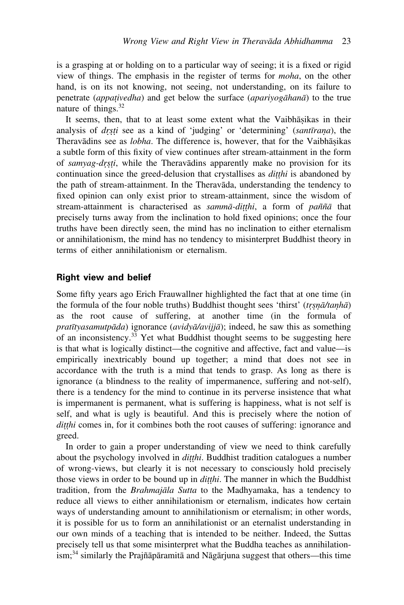is a grasping at or holding on to a particular way of seeing; it is a fixed or rigid view of things. The emphasis in the register of terms for *moha*, on the other hand, is on its not knowing, not seeing, not understanding, on its failure to penetrate (*appativedha*) and get below the surface (*aparivogāhana*) to the true nature of things. $32$ 

It seems, then, that to at least some extent what the Vaibhasikas in their analysis of *drsti* see as a kind of 'judging' or 'determining' (*santirana*), the Theravādins see as *lobha*. The difference is, however, that for the Vaibhāsikas a subtle form of this fixity of view continues after stream-attainment in the form of *samyag-drsti*, while the Theravadins apparently make no provision for its continuation since the greed-delusion that crystallises as *ditthi* is abandoned by the path of stream-attainment. In the Theravada, understanding the tendency to fixed opinion can only exist prior to stream-attainment, since the wisdom of stream-attainment is characterised as *samma-ditthi*, a form of *pañña*<sup>†</sup> that precisely turns away from the inclination to hold fixed opinions; once the four truths have been directly seen, the mind has no inclination to either eternalism or annihilationism, the mind has no tendency to misinterpret Buddhist theory in terms of either annihilationism or eternalism.

# **Right view and belief**

Some fifty years ago Erich Frauwallner highlighted the fact that at one time (in the formula of the four noble truths) Buddhist thought sees 'thirst' (*trsna¯/tanha¯*) as the root cause of suffering, at another time (in the formula of *pratītyasamutpāda*) ignorance (*avidyā/avijjā*); indeed, he saw this as something of an inconsistency.<sup>33</sup> Yet what Buddhist thought seems to be suggesting here is that what is logically distinct—the cognitive and affective, fact and value—is empirically inextricably bound up together; a mind that does not see in accordance with the truth is a mind that tends to grasp. As long as there is ignorance (a blindness to the reality of impermanence, suffering and not-self), there is a tendency for the mind to continue in its perverse insistence that what is impermanent is permanent, what is suffering is happiness, what is not self is self, and what is ugly is beautiful. And this is precisely where the notion of *ditthi* comes in, for it combines both the root causes of suffering: ignorance and greed.

In order to gain a proper understanding of view we need to think carefully about the psychology involved in *ditthi*. Buddhist tradition catalogues a number of wrong-views, but clearly it is not necessary to consciously hold precisely those views in order to be bound up in *ditthi*. The manner in which the Buddhist tradition, from the *Brahmajāla Sutta* to the Madhyamaka, has a tendency to reduce all views to either annihilationism or eternalism, indicates how certain ways of understanding amount to annihilationism or eternalism; in other words, it is possible for us to form an annihilationist or an eternalist understanding in our own minds of a teaching that is intended to be neither. Indeed, the Suttas precisely tell us that some misinterpret what the Buddha teaches as annihilationism;<sup>34</sup> similarly the Prajñāpāramita and Nāgārjuna suggest that others—this time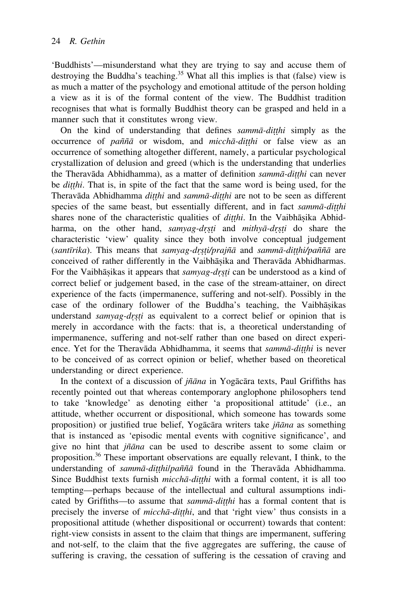'Buddhists'—misunderstand what they are trying to say and accuse them of destroying the Buddha's teaching.<sup>35</sup> What all this implies is that (false) view is as much a matter of the psychology and emotional attitude of the person holding a view as it is of the formal content of the view. The Buddhist tradition recognises that what is formally Buddhist theory can be grasped and held in a manner such that it constitutes wrong view.

On the kind of understanding that defines *samma¯-ditthi* simply as the occurrence of *pan˜n˜a¯* or wisdom, and *miccha¯-ditthi* or false view as an occurrence of something altogether different, namely, a particular psychological crystallization of delusion and greed (which is the understanding that underlies the Theravada Abhidhamma), as a matter of definition *samma-ditthi* can never be *ditthi*. That is, in spite of the fact that the same word is being used, for the Theravāda Abhidhamma *ditthi* and *sammā-ditthi* are not to be seen as different species of the same beast, but essentially different, and in fact *samma-ditthi* shares none of the characteristic qualities of *ditthi*. In the Vaibhasika Abhidharma, on the other hand, *samyag-drsti* and *mithya-drsti* do share the characteristic 'view' quality since they both involve conceptual judgement (*santīrika*). This means that *samyag-drsti/prajñā* and *sammā-ditthi/paññā* are conceived of rather differently in the Vaibhasika and Theravada Abhidharmas. For the Vaibhasikas it appears that *samyag-drsti* can be understood as a kind of correct belief or judgement based, in the case of the stream-attainer, on direct experience of the facts (impermanence, suffering and not-self). Possibly in the case of the ordinary follower of the Buddha's teaching, the Vaibhāsikas understand *samyag-drsti* as equivalent to a correct belief or opinion that is merely in accordance with the facts: that is, a theoretical understanding of impermanence, suffering and not-self rather than one based on direct experience. Yet for the Theravada Abhidhamma, it seems that *samma-ditthi* is never to be conceived of as correct opinion or belief, whether based on theoretical understanding or direct experience.

In the context of a discussion of *jñāna* in Yogācāra texts, Paul Griffiths has recently pointed out that whereas contemporary anglophone philosophers tend to take 'knowledge' as denoting either 'a propositional attitude' (i.e., an attitude, whether occurrent or dispositional, which someone has towards some proposition) or justified true belief, Yogācāra writers take *jñana* as something that is instanced as 'episodic mental events with cognitive significance', and give no hint that *jñāna* can be used to describe assent to some claim or proposition.36 These important observations are equally relevant, I think, to the understanding of *sammā-ditthilpaññā* found in the Theravāda Abhidhamma. Since Buddhist texts furnish *miccha-ditthi* with a formal content, it is all too tempting—perhaps because of the intellectual and cultural assumptions indicated by Griffiths—to assume that *samma¯-ditthi* has a formal content that is precisely the inverse of *miccha-ditthi*, and that 'right view' thus consists in a propositional attitude (whether dispositional or occurrent) towards that content: right-view consists in assent to the claim that things are impermanent, suffering and not-self, to the claim that the five aggregates are suffering, the cause of suffering is craving, the cessation of suffering is the cessation of craving and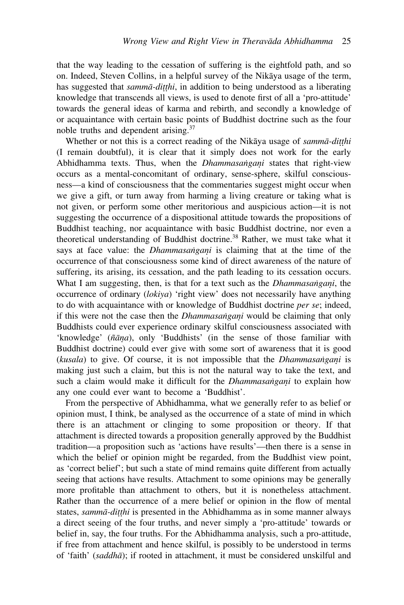that the way leading to the cessation of suffering is the eightfold path, and so on. Indeed, Steven Collins, in a helpful survey of the Nikava usage of the term, has suggested that *samma¯-ditthi*, in addition to being understood as a liberating knowledge that transcends all views, is used to denote first of all a 'pro-attitude' towards the general ideas of karma and rebirth, and secondly a knowledge of or acquaintance with certain basic points of Buddhist doctrine such as the four noble truths and dependent arising. $37$ 

Whether or not this is a correct reading of the Nikaya usage of *samma-ditthi* (I remain doubtful), it is clear that it simply does not work for the early Abhidhamma texts. Thus, when the *Dhammasangani* states that right-view occurs as a mental-concomitant of ordinary, sense-sphere, skilful consciousness—a kind of consciousness that the commentaries suggest might occur when we give a gift, or turn away from harming a living creature or taking what is not given, or perform some other meritorious and auspicious action—it is not suggesting the occurrence of a dispositional attitude towards the propositions of Buddhist teaching, nor acquaintance with basic Buddhist doctrine, nor even a theoretical understanding of Buddhist doctrine.<sup>38</sup> Rather, we must take what it says at face value: the *Dhammasangani* is claiming that at the time of the occurrence of that consciousness some kind of direct awareness of the nature of suffering, its arising, its cessation, and the path leading to its cessation occurs. What I am suggesting, then, is that for a text such as the *Dhammasangani*, the occurrence of ordinary (*lokiya*) 'right view' does not necessarily have anything to do with acquaintance with or knowledge of Buddhist doctrine *per se*; indeed, if this were not the case then the *Dhammasangani* would be claiming that only Buddhists could ever experience ordinary skilful consciousness associated with 'knowledge' ( $n\bar{a}na$ ), only 'Buddhists' (in the sense of those familiar with Buddhist doctrine) could ever give with some sort of awareness that it is good (*kusala*) to give. Of course, it is not impossible that the *Dhammasangani* is making just such a claim, but this is not the natural way to take the text, and such a claim would make it difficult for the *Dhammasangani* to explain how any one could ever want to become a 'Buddhist'.

From the perspective of Abhidhamma, what we generally refer to as belief or opinion must, I think, be analysed as the occurrence of a state of mind in which there is an attachment or clinging to some proposition or theory. If that attachment is directed towards a proposition generally approved by the Buddhist tradition—a proposition such as 'actions have results'—then there is a sense in which the belief or opinion might be regarded, from the Buddhist view point, as 'correct belief'; but such a state of mind remains quite different from actually seeing that actions have results. Attachment to some opinions may be generally more profitable than attachment to others, but it is nonetheless attachment. Rather than the occurrence of a mere belief or opinion in the flow of mental states, *sammā-diṭṭhi* is presented in the Abhidhamma as in some manner always a direct seeing of the four truths, and never simply a 'pro-attitude' towards or belief in, say, the four truths. For the Abhidhamma analysis, such a pro-attitude, if free from attachment and hence skilful, is possibly to be understood in terms of 'faith' (*saddha¯*); if rooted in attachment, it must be considered unskilful and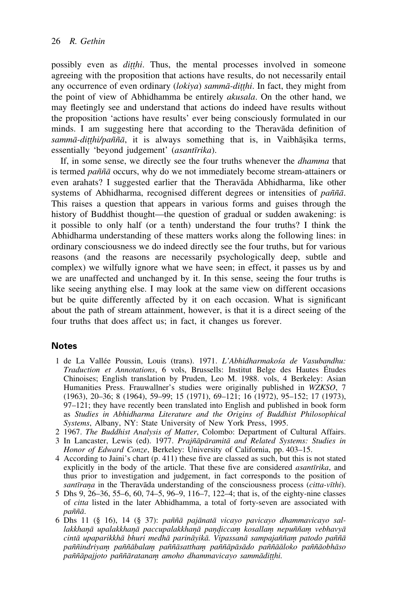possibly even as *ditthi*. Thus, the mental processes involved in someone agreeing with the proposition that actions have results, do not necessarily entail any occurrence of even ordinary (*lokiya*) *samma¯-ditthi*. In fact, they might from the point of view of Abhidhamma be entirely *akusala*. On the other hand, we may fleetingly see and understand that actions do indeed have results without the proposition 'actions have results' ever being consciously formulated in our minds. I am suggesting here that according to the Theravada definition of sammā-ditthi/paññā, it is always something that is, in Vaibhāsika terms, essentially 'beyond judgement' (*asantīrika*).

If, in some sense, we directly see the four truths whenever the *dhamma* that is termed *pañña* occurs, why do we not immediately become stream-attainers or even arahats? I suggested earlier that the Theravada Abhidharma, like other systems of Abhidharma, recognised different degrees or intensities of *pañña*. This raises a question that appears in various forms and guises through the history of Buddhist thought—the question of gradual or sudden awakening: is it possible to only half (or a tenth) understand the four truths? I think the Abhidharma understanding of these matters works along the following lines: in ordinary consciousness we do indeed directly see the four truths, but for various reasons (and the reasons are necessarily psychologically deep, subtle and complex) we wilfully ignore what we have seen; in effect, it passes us by and we are unaffected and unchanged by it. In this sense, seeing the four truths is like seeing anything else. I may look at the same view on different occasions but be quite differently affected by it on each occasion. What is significant about the path of stream attainment, however, is that it is a direct seeing of the four truths that does affect us; in fact, it changes us forever.

## **Notes**

- 1 de La Valle´e Poussin, Louis (trans). 1971. *L'Abhidharmakos´a de Vasubandhu: Traduction et Annotations*, 6 vols, Brussells: Institut Belge des Hautes Études Chinoises; English translation by Pruden, Leo M. 1988. vols, 4 Berkeley: Asian Humanities Press. Frauwallner's studies were originally published in *WZKSO*, 7 (1963), 20–36; 8 (1964), 59–99; 15 (1971), 69–121; 16 (1972), 95–152; 17 (1973), 97–121; they have recently been translated into English and published in book form as *Studies in Abhidharma Literature and the Origins of Buddhist Philosophical Systems*, Albany, NY: State University of New York Press, 1995.
- 2 1967. *The Buddhist Analysis of Matter*, Colombo: Department of Cultural Affairs.
- 3 In Lancaster, Lewis (ed). 1977. *Prajn˜a¯pa¯ramita¯ and Related Systems: Studies in Honor of Edward Conze*, Berkeley: University of California, pp. 403–15.
- 4 According to Jaini's chart (p. 411) these five are classed as such, but this is not stated explicitly in the body of the article. That these five are considered *asantīrika*, and thus prior to investigation and judgement, in fact corresponds to the position of *santīrana* in the Theravada understanding of the consciousness process (*citta-vīthi*).
- 5 Dhs 9, 26–36, 55–6, 60, 74–5, 96–9, 116–7, 122–4; that is, of the eighty-nine classes of *citta* listed in the later Abhidhamma, a total of forty-seven are associated with *pan˜n˜a¯*.
- 6 Dhs 11 (§ 16), 14 (§ 37): paññā pajānatā vicayo pavicayo dhammavicayo sal*lakkhana¯ upalakkhana¯ paccupalakkhana¯ pandiccam kosallam nepun˜n˜am vebhavya¯ cinta¯ upaparikkha¯ bhuri medha¯ parina¯yika¯. Vipassana¯ sampajan¯n¯am patodo pan˜n˜a¯ pan˜n˜indriyam pan˜n˜a¯balam pan˜n˜a¯sattham pan˜n˜a¯pa¯sa¯do pan˜n˜a¯a¯loko pan˜n˜a¯obha¯so pan˜n˜a¯pajjoto pan˜n˜a¯ratanam amoho dhammavicayo samma¯ditthi.*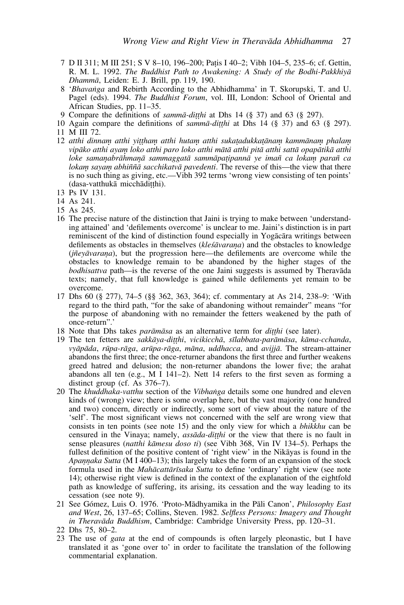- 7 D II 311; M III 251; S V 8–10, 196–200; Patis I 40–2; Vibh 104–5, 235–6; cf. Gettin, R. M. L. 1992. *The Buddhist Path to Awakening: A Study of the Bodhi-Pakkhiya¯ Dhamma¯*, Leiden: E. J. Brill, pp. 119, 190.
- 8 *'Bhavanga* and Rebirth According to the Abhidhamma' in T. Skorupski, T. and U. Pagel (eds). 1994. *The Buddhist Forum*, vol. III, London: School of Oriental and African Studies, pp. 11–35.
- 9 Compare the definitions of *samma¯-ditthi* at Dhs 14 (§ 37) and 63 (§ 297).
- 10 Again compare the definitions of *samma¯-ditthi* at Dhs 14 (§ 37) and 63 (§ 297).
- 
- 11 M III 72.<br>12 atthi dinnam atthi yittham atthi hutam atthi sukatadukkatānam kammānam phalam vipāko atthi ayam loko atthi paro loko atthi mātā atthi pitā atthi sattā opapātikā atthi *loke samanabra¯hmana¯ sammaggata¯ samma¯patipanna¯ ye iman˜ ca lokam paran˜ ca lokam sayam abhiñña sacchikatva pavedenti*. The reverse of this—the view that there is no such thing as giving, etc.—Vibh 392 terms 'wrong view consisting of ten points' (dasa-vatthukā micchādițțhi).
- 13 Ps IV 131.
- 14 As 241.
- 15 As 245.
- 16 The precise nature of the distinction that Jaini is trying to make between 'understanding attained' and 'defilements overcome' is unclear to me. Jaini's distinction is in part reminiscent of the kind of distinction found especially in Yogācāra writings between defilements as obstacles in themselves (*kles<sup>†avarana*) and the obstacles to knowledge</sup> (*jñeyāvaraṇa*), but the progression here—the defilements are overcome while the obstacles to knowledge remain to be abandoned by the higher stages of the *bodhisattva* path—is the reverse of the one Jaini suggests is assumed by Theravada texts; namely, that full knowledge is gained while defilements yet remain to be overcome.
- 17 Dhs 60 (§ 277), 74–5 (§§ 362, 363, 364); cf. commentary at As 214, 238–9: 'With regard to the third path, "for the sake of abandoning without remainder" means "for the purpose of abandoning with no remainder the fetters weakened by the path of once-return".'
- 18 Note that Dhs takes *parāmāsa* as an alternative term for *ditthi* (see later).
- 19 The ten fetters are *sakkāya-ditthi*, *vicikicchā*, *sīlabbata-parāmāsa*, *kāma-cchanda*, *vya¯pa¯da*, *ru¯pa-ra¯ga*, *aru¯pa-ra¯ga*, *ma¯na*, *uddhacca*, and *avijja¯*. The stream-attainer abandons the first three; the once-returner abandons the first three and further weakens greed hatred and delusion; the non-returner abandons the lower five; the arahat abandons all ten (e.g., M I 141–2). Nett 14 refers to the first seven as forming a distinct group (cf. As 376–7).
- 20 The *khuddhaka-vatthu* section of the *Vibhanga* details some one hundred and eleven kinds of (wrong) view; there is some overlap here, but the vast majority (one hundred and two) concern, directly or indirectly, some sort of view about the nature of the 'self'. The most significant views not concerned with the self are wrong view that consists in ten points (see note 15) and the only view for which a *bhikkhu* can be censured in the Vinaya; namely, *assada-ditthi* or the view that there is no fault in sense pleasures (*natthi kāmesu doso ti*) (see Vibh 368, Vin IV 134–5). Perhaps the fullest definition of the positive content of 'right view' in the Nikayas is found in the *Apannaka Sutta* (M I 400–13); this largely takes the form of an expansion of the stock formula used in the *Mahācattārīsaka Sutta* to define 'ordinary' right view (see note 14); otherwise right view is defined in the context of the explanation of the eightfold path as knowledge of suffering, its arising, its cessation and the way leading to its cessation (see note 9).
- 21 See Gómez, Luis O. 1976. 'Proto-Mādhyamika in the Pāli Canon', *Philosophy East and West*, 26, 137–65; Collins, Steven. 1982. *Selfless Persons: Imagery and Thought in Theravāda Buddhism*, Cambridge: Cambridge University Press, pp. 120-31.
- 22 Dhs 75, 80–2.
- 23 The use of *gata* at the end of compounds is often largely pleonastic, but I have translated it as 'gone over to' in order to facilitate the translation of the following commentarial explanation.